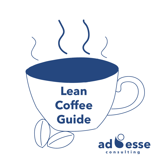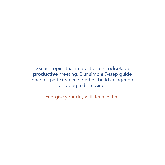Discuss topics that interest you in a **short**, yet **productive** meeting. Our simple 7-step guide enables participants to gather, build an agenda and begin discussing.

Energise your day with lean coffee.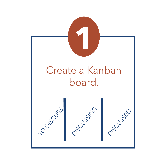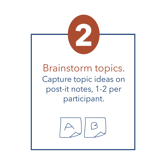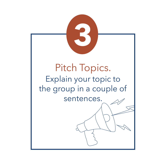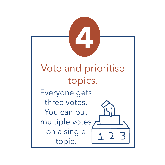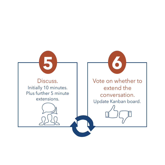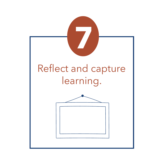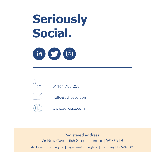## **Seriously Social.**





01164 788 258



hello@ad-esse.com



www.ad-esse.com

Registered address: 76 New Cavendish Street | London | W1G 9TB Ad Esse Consulting Ltd | Registered in England | Company No. 5245381